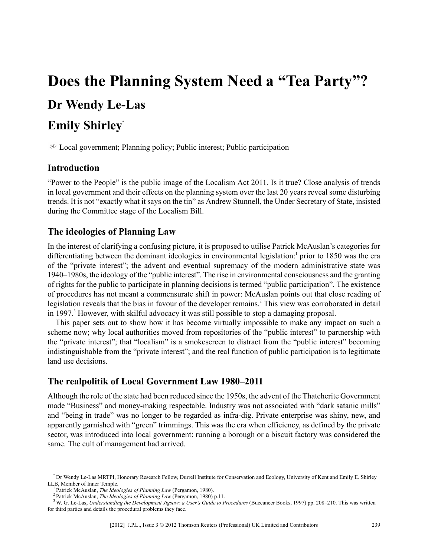# **Does the Planning System Need a "Tea Party"? Dr Wendy Le-Las**

## **Emily Shirley\***

 $E$  Local government; Planning policy; Public interest; Public participation

#### **Introduction**

"Power to the People" is the public image of the Localism Act 2011. Is it true? Close analysis of trends in local government and their effects on the planning system over the last 20 years reveal some disturbing trends. It is not "exactly what it says on the tin" as Andrew Stunnell, the Under Secretary of State, insisted during the Committee stage of the Localism Bill.

### **The ideologies of Planning Law**

In the interest of clarifying a confusing picture, it is proposed to utilise Patrick McAuslan's categories for differentiating between the dominant ideologies in environmental legislation:<sup>1</sup> prior to 1850 was the era of the "private interest"; the advent and eventual supremacy of the modern administrative state was 1940–1980s, the ideology of the "public interest". The rise in environmental consciousness and the granting of rights for the public to participate in planning decisions is termed "public participation". The existence of procedures has not meant a commensurate shift in power: McAuslan points out that close reading of legislation reveals that the bias in favour of the developer remains.<sup>2</sup> This view was corroborated in detail in 1997.<sup>3</sup> However, with skilful advocacy it was still possible to stop a damaging proposal.

This paper sets out to show how it has become virtually impossible to make any impact on such a scheme now; why local authorities moved from repositories of the "public interest" to partnership with the "private interest"; that "localism" is a smokescreen to distract from the "public interest" becoming indistinguishable from the "private interest"; and the real function of public participation is to legitimate land use decisions.

#### **The realpolitik of Local Government Law 1980–2011**

Although the role of the state had been reduced since the 1950s, the advent of the Thatcherite Government made "Business" and money-making respectable. Industry was not associated with "dark satanic mills" and "being in trade" was no longer to be regarded as infra-dig. Private enterprise was shiny, new, and apparently garnished with "green" trimmings. This was the era when efficiency, as defined by the private sector, was introduced into local government: running a borough or a biscuit factory was considered the same. The cult of management had arrived.

<sup>\*</sup> Dr Wendy Le-Las MRTPI, Honorary Research Fellow, Durrell Institute for Conservation and Ecology, University of Kent and Emily E. Shirley LLB, Member of Inner Temple.

<sup>1</sup> Patrick McAuslan, *The Ideologies of Planning Law* (Pergamon, 1980).

<sup>2</sup> Patrick McAuslan, *The Ideologies of Planning Law* (Pergamon, 1980) p.11.

<sup>&</sup>lt;sup>3</sup> W. G. Le-Las, *Understanding the Development Jigsaw: a User's Guide to Procedures (Buccaneer Books, 1997) pp. 208–210. This was written* for third parties and details the procedural problems they face.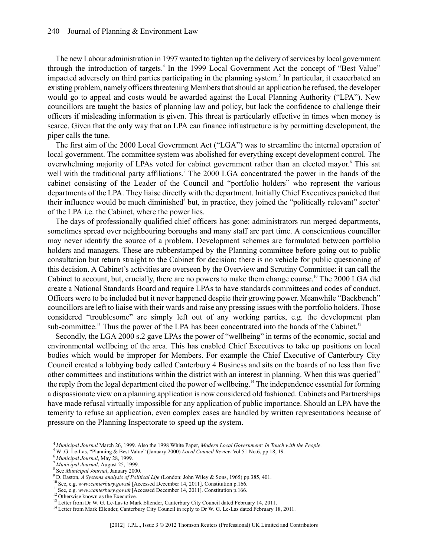The new Labour administration in 1997 wanted to tighten up the delivery of services by local government through the introduction of targets.<sup>4</sup> In the 1999 Local Government Act the concept of "Best Value" impacted adversely on third parties participating in the planning system.<sup>5</sup> In particular, it exacerbated an existing problem, namely officers threatening Members that should an application be refused, the developer would go to appeal and costs would be awarded against the Local Planning Authority ("LPA"). New councillors are taught the basics of planning law and policy, but lack the confidence to challenge their officers if misleading information is given. This threat is particularly effective in times when money is scarce. Given that the only way that an LPA can finance infrastructure is by permitting development, the piper calls the tune.

The first aim of the 2000 Local Government Act ("LGA") was to streamline the internal operation of local government. The committee system was abolished for everything except development control. The overwhelming majority of LPAs voted for cabinet government rather than an elected mayor.<sup>6</sup> This sat well with the traditional party affiliations.<sup>7</sup> The 2000 LGA concentrated the power in the hands of the cabinet consisting of the Leader of the Council and "portfolio holders" who represent the various departments of the LPA. They liaise directly with the department. Initially Chief Executives panicked that their influence would be much diminished<sup>8</sup> but, in practice, they joined the "politically relevant" sector<sup>9</sup> of the LPA i.e. the Cabinet, where the power lies.

The days of professionally qualified chief officers has gone: administrators run merged departments, sometimes spread over neighbouring boroughs and many staff are part time. A conscientious councillor may never identify the source of a problem. Development schemes are formulated between portfolio holders and managers. These are rubberstamped by the Planning committee before going out to public consultation but return straight to the Cabinet for decision: there is no vehicle for public questioning of this decision. A Cabinet's activities are overseen by the Overview and Scrutiny Committee: it can call the Cabinet to account, but, crucially, there are no powers to make them change course.<sup>10</sup> The 2000 LGA did create a National Standards Board and require LPAs to have standards committees and codes of conduct. Officers were to be included but it never happened despite their growing power. Meanwhile "Backbench" councillors are left to liaise with their wards and raise any pressing issues with the portfolio holders. Those considered "troublesome" are simply left out of any working parties, e.g. the development plan sub-committee.<sup>11</sup> Thus the power of the LPA has been concentrated into the hands of the Cabinet.<sup>12</sup>

Secondly, the LGA 2000 s.2 gave LPAs the power of "wellbeing" in terms of the economic, social and environmental wellbeing of the area. This has enabled Chief Executives to take up positions on local bodies which would be improper for Members. For example the Chief Executive of Canterbury City Council created a lobbying body called Canterbury 4 Business and sits on the boards of no less than five other committees and institutions within the district with an interest in planning. When this was queried<sup>13</sup> the reply from the legal department cited the power of wellbeing.<sup>14</sup> The independence essential for forming a dispassionate view on a planning application is now considered old fashioned. Cabinets and Partnerships have made refusal virtually impossible for any application of public importance. Should an LPA have the temerity to refuse an application, even complex cases are handled by written representations because of pressure on the Planning Inspectorate to speed up the system.

<sup>4</sup> *Municipal Journal* March 26, 1999. Also the 1998 White Paper, *Modern Local Government: In Touch with the People*.

<sup>5</sup> W .G. Le-Las, "Planning & Best Value" (January 2000) *Local Council Review* Vol.51 No.6, pp.18, 19.

<sup>6</sup> *Municipal Journal*, May 28, 1999.

<sup>7</sup> *Municipal Journal*, August 25, 1999.

<sup>8</sup> See *Municipal Journal*, January 2000.

<sup>9</sup> D. Easton, *A Systems analysis of Political Life* (London: John Wiley & Sons, 1965) pp.385, 401.

<sup>10</sup> See, e.g. *www.canterbury.gov.uk* [Accessed December 14, 2011]. Constitution p.166.

<sup>&</sup>lt;sup>11</sup> See, e.g. www.canterbury.gov.uk [Accessed December 14, 2011]. Constitution p.166.

<sup>&</sup>lt;sup>12</sup> Otherwise known as the Executive.

<sup>&</sup>lt;sup>13</sup> Letter from Dr W. G. Le-Las to Mark Ellender, Canterbury City Council dated February 14, 2011.

<sup>&</sup>lt;sup>14</sup> Letter from Mark Ellender, Canterbury City Council in reply to Dr W. G. Le-Las dated February 18, 2011.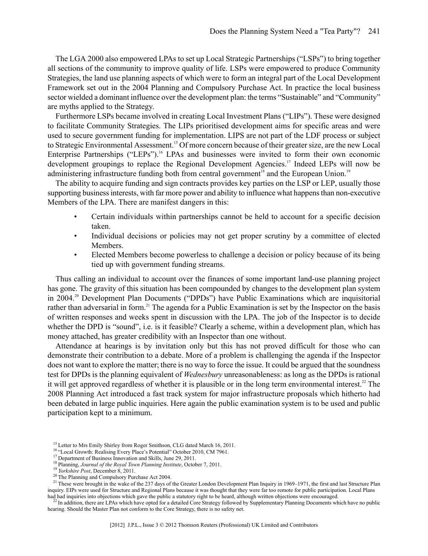The LGA 2000 also empowered LPAs to set up Local Strategic Partnerships ("LSPs") to bring together all sections of the community to improve quality of life. LSPs were empowered to produce Community Strategies, the land use planning aspects of which were to form an integral part of the Local Development Framework set out in the 2004 Planning and Compulsory Purchase Act. In practice the local business sector wielded a dominant influence over the development plan: the terms "Sustainable" and "Community" are myths applied to the Strategy.

Furthermore LSPs became involved in creating Local Investment Plans ("LIPs"). These were designed to facilitate Community Strategies. The LIPs prioritised development aims for specific areas and were used to secure government funding for implementation. LIPS are not part of the LDF process or subject to Strategic Environmental Assessment.<sup>15</sup> Of more concern because of their greater size, are the new Local Enterprise Partnerships ("LEPs").<sup>16</sup> LPAs and businesses were invited to form their own economic development groupings to replace the Regional Development Agencies.<sup>17</sup> Indeed LEPs will now be administering infrastructure funding both from central government<sup>18</sup> and the European Union.<sup>19</sup>

The ability to acquire funding and sign contracts provides key parties on the LSP or LEP, usually those supporting business interests, with far more power and ability to influence what happens than non-executive Members of the LPA. There are manifest dangers in this:

- Certain individuals within partnerships cannot be held to account for a specific decision taken.
- Individual decisions or policies may not get proper scrutiny by a committee of elected Members.
- Elected Members become powerless to challenge a decision or policy because of its being tied up with government funding streams.

Thus calling an individual to account over the finances of some important land-use planning project has gone. The gravity of this situation has been compounded by changes to the development plan system in 2004.<sup>20</sup> Development Plan Documents ("DPDs") have Public Examinations which are inquisitorial rather than adversarial in form.<sup>21</sup> The agenda for a Public Examination is set by the Inspector on the basis of written responses and weeks spent in discussion with the LPA. The job of the Inspector is to decide whether the DPD is "sound", i.e. is it feasible? Clearly a scheme, within a development plan, which has money attached, has greater credibility with an Inspector than one without.

Attendance at hearings is by invitation only but this has not proved difficult for those who can demonstrate their contribution to a debate. More of a problem is challenging the agenda if the Inspector does not want to explore the matter; there is no way to force the issue. It could be argued that the soundness test for DPDs is the planning equivalent of *Wednesbury* unreasonableness: as long as the DPDs is rational it will get approved regardless of whether it is plausible or in the long term environmental interest.<sup>22</sup> The 2008 Planning Act introduced a fast track system for major infrastructure proposals which hitherto had been debated in large public inquiries. Here again the public examination system is to be used and public participation kept to a minimum.

 $^{22}$  In addition, there are LPAs which have opted for a detailed Core Strategy followed by Supplementary Planning Documents which have no public hearing. Should the Master Plan not conform to the Core Strategy, there is no safety net.

<sup>&</sup>lt;sup>15</sup> Letter to Mrs Emily Shirley from Roger Smithson, CLG dated March 16, 2011.

<sup>&</sup>lt;sup>16</sup> "Local Growth: Realising Every Place's Potential" October 2010, CM 7961.

<sup>&</sup>lt;sup>17</sup> Department of Business Innovation and Skills, June 29, 2011.

<sup>18</sup> Planning, *Journal of the Royal Town Planning Institute*, October 7, 2011.

<sup>19</sup> *Yorkshire Post*, December 8, 2011.

<sup>&</sup>lt;sup>20</sup> The Planning and Compulsory Purchase Act 2004.

<sup>&</sup>lt;sup>21</sup> These were brought in the wake of the 237 days of the Greater London Development Plan Inquiry in 1969–1971, the first and last Structure Plan inquiry. EIPs were used for Structure and Regional Plans because it was thought that they were far too remote for public participation. Local Plans had had inquiries into objections which gave the public a statutory right to be heard, although written objections were encouraged.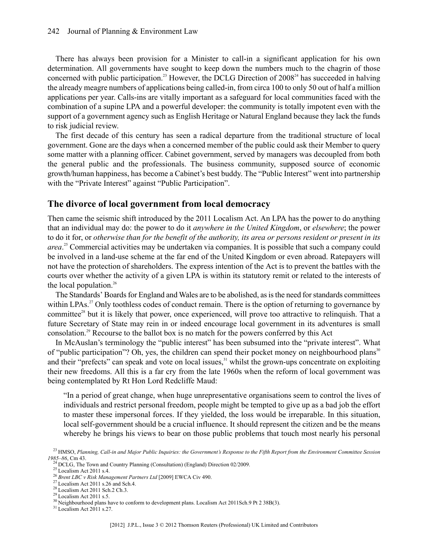There has always been provision for a Minister to call-in a significant application for his own determination. All governments have sought to keep down the numbers much to the chagrin of those concerned with public participation.<sup>23</sup> However, the DCLG Direction of  $2008<sup>24</sup>$  has succeeded in halving the already meagre numbers of applications being called-in, from circa 100 to only 50 out of half a million applications per year. Calls-ins are vitally important as a safeguard for local communities faced with the combination of a supine LPA and a powerful developer: the community is totally impotent even with the support of a government agency such as English Heritage or Natural England because they lack the funds to risk judicial review.

The first decade of this century has seen a radical departure from the traditional structure of local government. Gone are the days when a concerned member of the public could ask their Member to query some matter with a planning officer. Cabinet government, served by managers was decoupled from both the general public and the professionals. The business community, supposed source of economic growth/human happiness, has become a Cabinet's best buddy. The "Public Interest" went into partnership with the "Private Interest" against "Public Participation".

#### **The divorce of local government from local democracy**

Then came the seismic shift introduced by the 2011 Localism Act. An LPA has the power to do anything that an individual may do: the power to do it *anywhere in the United Kingdom*, or *elsewhere*; the power to do it for, or *otherwise than for the benefit of the authority, its area or persons resident or present in its area*. <sup>25</sup> Commercial activities may be undertaken via companies. It is possible that such a company could be involved in a land-use scheme at the far end of the United Kingdom or even abroad. Ratepayers will not have the protection of shareholders. The express intention of the Act is to prevent the battles with the courts over whether the activity of a given LPA is within its statutory remit or related to the interests of the local population.<sup>26</sup>

The Standards' Boards for England and Wales are to be abolished, as is the need for standards committees within LPAs.<sup>27</sup> Only toothless codes of conduct remain. There is the option of returning to governance by committee<sup>28</sup> but it is likely that power, once experienced, will prove too attractive to relinquish. That a future Secretary of State may rein in or indeed encourage local government in its adventures is small consolation.<sup>29</sup> Recourse to the ballot box is no match for the powers conferred by this Act

In McAuslan's terminology the "public interest" has been subsumed into the "private interest". What of "public participation"? Oh, yes, the children can spend their pocket money on neighbourhood plans<sup>30</sup> and their "prefects" can speak and vote on local issues,<sup>31</sup> whilst the grown-ups concentrate on exploiting their new freedoms. All this is a far cry from the late 1960s when the reform of local government was being contemplated by Rt Hon Lord Redcliffe Maud:

"In a period of great change, when huge unrepresentative organisations seem to control the lives of individuals and restrict personal freedom, people might be tempted to give up as a bad job the effort to master these impersonal forces. If they yielded, the loss would be irreparable. In this situation, local self-government should be a crucial influence. It should represent the citizen and be the means whereby he brings his views to bear on those public problems that touch most nearly his personal

 $25$  Localism Act 2011 s.4.

<sup>&</sup>lt;sup>23</sup> HMSO, Planning, Call-in and Major Public Inquiries: the Government's Response to the Fifth Report from the Environment Committee Session *1985–86*, Cm 43. <sup>24</sup> DCLG, The Town and Country Planning (Consultation) (England) Direction 02/2009.

<sup>26</sup> *Brent LBC v Risk Management Partners Ltd* [2009] EWCA Civ 490.

 $27$  Localism Act 2011 s.26 and Sch.4.

<sup>28</sup> Localism Act 2011 Sch.2 Ch.3.

 $29$  Localism Act 2011 s.5.

<sup>&</sup>lt;sup>30</sup> Neighbourhood plans have to conform to development plans. Localism Act 2011Sch.9 Pt 2 38B(3).

<sup>31</sup> Localism Act 2011 s.27.